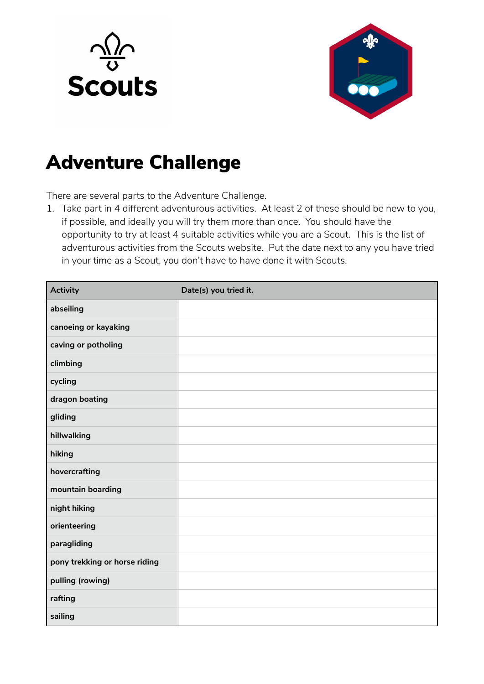



## Adventure Challenge

There are several parts to the Adventure Challenge.

1. Take part in 4 different adventurous activities. At least 2 of these should be new to you, if possible, and ideally you will try them more than once. You should have the opportunity to try at least 4 suitable activities while you are a Scout. This is the list of adventurous activities from the Scouts website. Put the date next to any you have tried in your time as a Scout, you don't have to have done it with Scouts.

| <b>Activity</b>               | Date(s) you tried it. |
|-------------------------------|-----------------------|
| abseiling                     |                       |
| canoeing or kayaking          |                       |
| caving or potholing           |                       |
| climbing                      |                       |
| cycling                       |                       |
| dragon boating                |                       |
| gliding                       |                       |
| hillwalking                   |                       |
| hiking                        |                       |
| hovercrafting                 |                       |
| mountain boarding             |                       |
| night hiking                  |                       |
| orienteering                  |                       |
| paragliding                   |                       |
| pony trekking or horse riding |                       |
| pulling (rowing)              |                       |
| rafting                       |                       |
| sailing                       |                       |